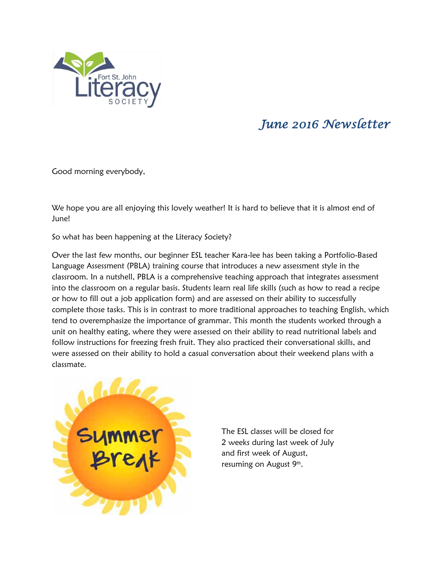

## *June 2016 Newsletter*

Good morning everybody,

We hope you are all enjoying this lovely weather! It is hard to believe that it is almost end of June!

So what has been happening at the Literacy Society?

Over the last few months, our beginner ESL teacher Kara-lee has been taking a Portfolio-Based Language Assessment (PBLA) training course that introduces a new assessment style in the classroom. In a nutshell, PBLA is a comprehensive teaching approach that integrates assessment into the classroom on a regular basis. Students learn real life skills (such as how to read a recipe or how to fill out a job application form) and are assessed on their ability to successfully complete those tasks. This is in contrast to more traditional approaches to teaching English, which tend to overemphasize the importance of grammar. This month the students worked through a unit on healthy eating, where they were assessed on their ability to read nutritional labels and follow instructions for freezing fresh fruit. They also practiced their conversational skills, and were assessed on their ability to hold a casual conversation about their weekend plans with a classmate.



The ESL classes will be closed for 2 weeks during last week of July and first week of August, resuming on August 9<sup>th</sup>.